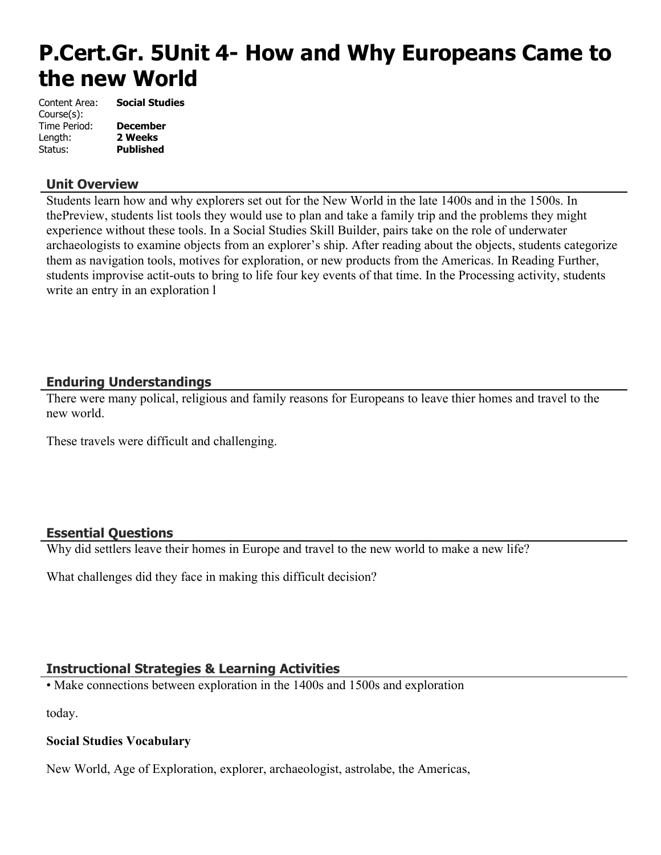# **P.Cert.Gr. 5Unit 4- How and Why Europeans Came to the new World**

| Content Area: | <b>Social Studies</b> |
|---------------|-----------------------|
| Course(s):    |                       |
| Time Period:  | <b>December</b>       |
| Length:       | 2 Weeks               |
| Status:       | <b>Published</b>      |

# **Unit Overview**

Students learn how and why explorers set out for the New World in the late 1400s and in the 1500s. In thePreview, students list tools they would use to plan and take a family trip and the problems they might experience without these tools. In a Social Studies Skill Builder, pairs take on the role of underwater archaeologists to examine objects from an explorer's ship. After reading about the objects, students categorize them as navigation tools, motives for exploration, or new products from the Americas. In Reading Further, students improvise actit-outs to bring to life four key events of that time. In the Processing activity, students write an entry in an exploration l

# **Enduring Understandings**

There were many polical, religious and family reasons for Europeans to leave thier homes and travel to the new world.

These travels were difficult and challenging.

## **Essential Questions**

Why did settlers leave their homes in Europe and travel to the new world to make a new life?

What challenges did they face in making this difficult decision?

# **Instructional Strategies & Learning Activities**

• Make connections between exploration in the 1400s and 1500s and exploration

today.

## **Social Studies Vocabulary**

New World, Age of Exploration, explorer, archaeologist, astrolabe, the Americas,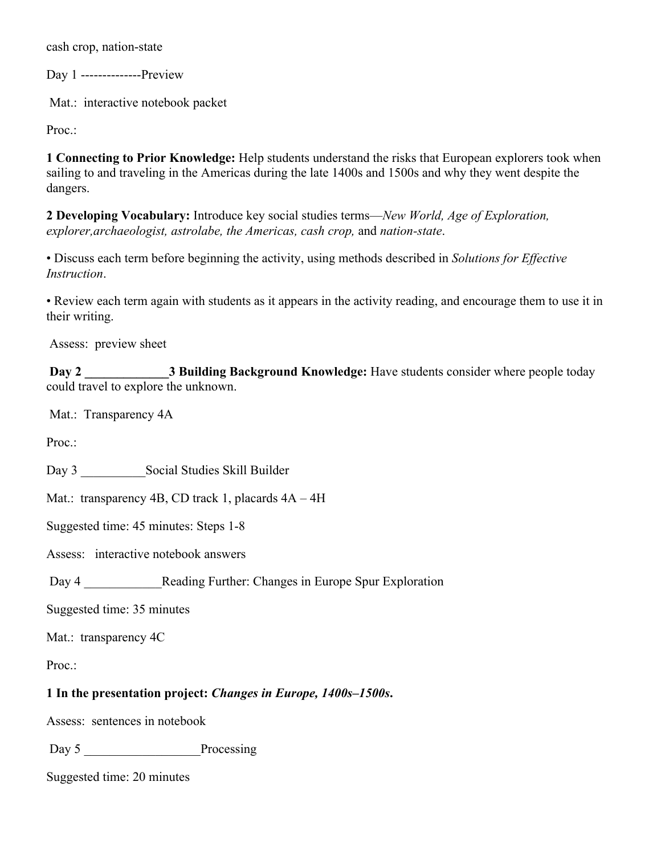cash crop, nation-state

Day 1 --------------Preview

Mat.: interactive notebook packet

Proc.:

**1 Connecting to Prior Knowledge:** Help students understand the risks that European explorers took when sailing to and traveling in the Americas during the late 1400s and 1500s and why they went despite the dangers.

**2 Developing Vocabulary:** Introduce key social studies terms—*New World, Age of Exploration, explorer,archaeologist, astrolabe, the Americas, cash crop,* and *nation-state*.

• Discuss each term before beginning the activity, using methods described in *Solutions for Effective Instruction*.

• Review each term again with students as it appears in the activity reading, and encourage them to use it in their writing.

Assess: preview sheet

**Day 2** 3 Building Background Knowledge: Have students consider where people today could travel to explore the unknown.

Mat.: Transparency 4A

Proc.:

Day 3 \_\_\_\_\_\_\_\_\_\_Social Studies Skill Builder

Mat.: transparency 4B, CD track 1, placards  $4A - 4H$ 

Suggested time: 45 minutes: Steps 1-8

Assess: interactive notebook answers

Day 4 **Reading Further: Changes in Europe Spur Exploration** 

Suggested time: 35 minutes

Mat.: transparency 4C

Proc.:

## **1 In the presentation project:** *Changes in Europe, 1400s–1500s***.**

Assess: sentences in notebook

Day 5 Processing

Suggested time: 20 minutes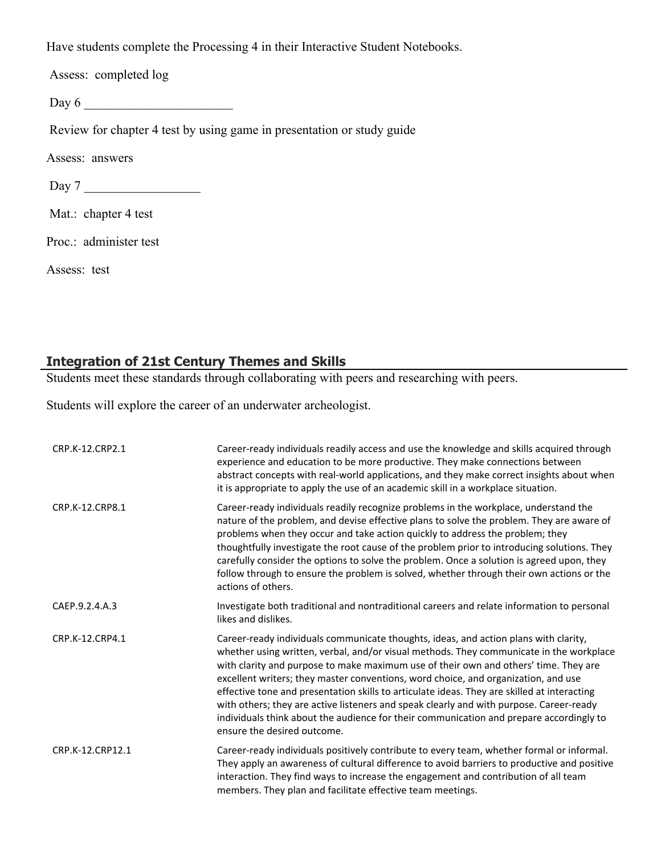Have students complete the Processing 4 in their Interactive Student Notebooks.

Assess: completed log

Day 6 \_\_\_\_\_\_\_\_\_\_\_\_\_\_\_\_\_\_\_\_\_\_\_

Review for chapter 4 test by using game in presentation or study guide

Assess: answers

Day 7 \_\_\_\_\_\_\_\_\_\_\_\_\_\_\_\_\_\_

Mat.: chapter 4 test

Proc.: administer test

Assess: test

# **Integration of 21st Century Themes and Skills**

Students meet these standards through collaborating with peers and researching with peers.

Students will explore the career of an underwater archeologist.

| CRP.K-12.CRP2.1  | Career-ready individuals readily access and use the knowledge and skills acquired through<br>experience and education to be more productive. They make connections between<br>abstract concepts with real-world applications, and they make correct insights about when<br>it is appropriate to apply the use of an academic skill in a workplace situation.                                                                                                                                                                                                                                                                                                                      |
|------------------|-----------------------------------------------------------------------------------------------------------------------------------------------------------------------------------------------------------------------------------------------------------------------------------------------------------------------------------------------------------------------------------------------------------------------------------------------------------------------------------------------------------------------------------------------------------------------------------------------------------------------------------------------------------------------------------|
| CRP.K-12.CRP8.1  | Career-ready individuals readily recognize problems in the workplace, understand the<br>nature of the problem, and devise effective plans to solve the problem. They are aware of<br>problems when they occur and take action quickly to address the problem; they<br>thoughtfully investigate the root cause of the problem prior to introducing solutions. They<br>carefully consider the options to solve the problem. Once a solution is agreed upon, they<br>follow through to ensure the problem is solved, whether through their own actions or the<br>actions of others.                                                                                                  |
| CAEP.9.2.4.A.3   | Investigate both traditional and nontraditional careers and relate information to personal<br>likes and dislikes.                                                                                                                                                                                                                                                                                                                                                                                                                                                                                                                                                                 |
| CRP.K-12.CRP4.1  | Career-ready individuals communicate thoughts, ideas, and action plans with clarity,<br>whether using written, verbal, and/or visual methods. They communicate in the workplace<br>with clarity and purpose to make maximum use of their own and others' time. They are<br>excellent writers; they master conventions, word choice, and organization, and use<br>effective tone and presentation skills to articulate ideas. They are skilled at interacting<br>with others; they are active listeners and speak clearly and with purpose. Career-ready<br>individuals think about the audience for their communication and prepare accordingly to<br>ensure the desired outcome. |
| CRP.K-12.CRP12.1 | Career-ready individuals positively contribute to every team, whether formal or informal.<br>They apply an awareness of cultural difference to avoid barriers to productive and positive<br>interaction. They find ways to increase the engagement and contribution of all team<br>members. They plan and facilitate effective team meetings.                                                                                                                                                                                                                                                                                                                                     |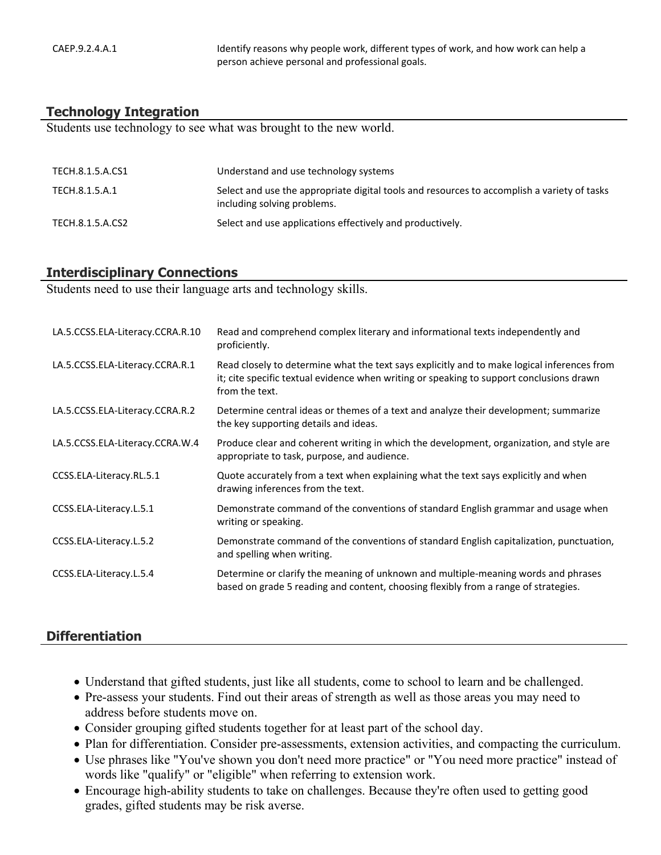CAEP.9.2.4.A.1 Intertact of the dentify reasons why people work, different types of work, and how work can help a person achieve personal and professional goals.

#### **Technology Integration**

Students use technology to see what was brought to the new world.

| TECH.8.1.5.A.CS1 | Understand and use technology systems                                                                                      |
|------------------|----------------------------------------------------------------------------------------------------------------------------|
| TECH.8.1.5.A.1   | Select and use the appropriate digital tools and resources to accomplish a variety of tasks<br>including solving problems. |
| TECH.8.1.5.A.CS2 | Select and use applications effectively and productively.                                                                  |

#### **Interdisciplinary Connections**

Students need to use their language arts and technology skills.

| LA.5.CCSS.ELA-Literacy.CCRA.R.10 | Read and comprehend complex literary and informational texts independently and<br>proficiently.                                                                                                           |
|----------------------------------|-----------------------------------------------------------------------------------------------------------------------------------------------------------------------------------------------------------|
| LA.5.CCSS.ELA-Literacy.CCRA.R.1  | Read closely to determine what the text says explicitly and to make logical inferences from<br>it; cite specific textual evidence when writing or speaking to support conclusions drawn<br>from the text. |
| LA.5.CCSS.ELA-Literacy.CCRA.R.2  | Determine central ideas or themes of a text and analyze their development; summarize<br>the key supporting details and ideas.                                                                             |
| LA.5.CCSS.ELA-Literacy.CCRA.W.4  | Produce clear and coherent writing in which the development, organization, and style are<br>appropriate to task, purpose, and audience.                                                                   |
| CCSS.ELA-Literacy.RL.5.1         | Quote accurately from a text when explaining what the text says explicitly and when<br>drawing inferences from the text.                                                                                  |
| CCSS.ELA-Literacy.L.5.1          | Demonstrate command of the conventions of standard English grammar and usage when<br>writing or speaking.                                                                                                 |
| CCSS.ELA-Literacy.L.5.2          | Demonstrate command of the conventions of standard English capitalization, punctuation,<br>and spelling when writing.                                                                                     |
| CCSS.ELA-Literacy.L.5.4          | Determine or clarify the meaning of unknown and multiple-meaning words and phrases<br>based on grade 5 reading and content, choosing flexibly from a range of strategies.                                 |

## **Differentiation**

- Understand that gifted students, just like all students, come to school to learn and be challenged.
- Pre-assess your students. Find out their areas of strength as well as those areas you may need to address before students move on.
- Consider grouping gifted students together for at least part of the school day.
- Plan for differentiation. Consider pre-assessments, extension activities, and compacting the curriculum.
- Use phrases like "You've shown you don't need more practice" or "You need more practice" instead of words like "qualify" or "eligible" when referring to extension work.
- Encourage high-ability students to take on challenges. Because they're often used to getting good grades, gifted students may be risk averse.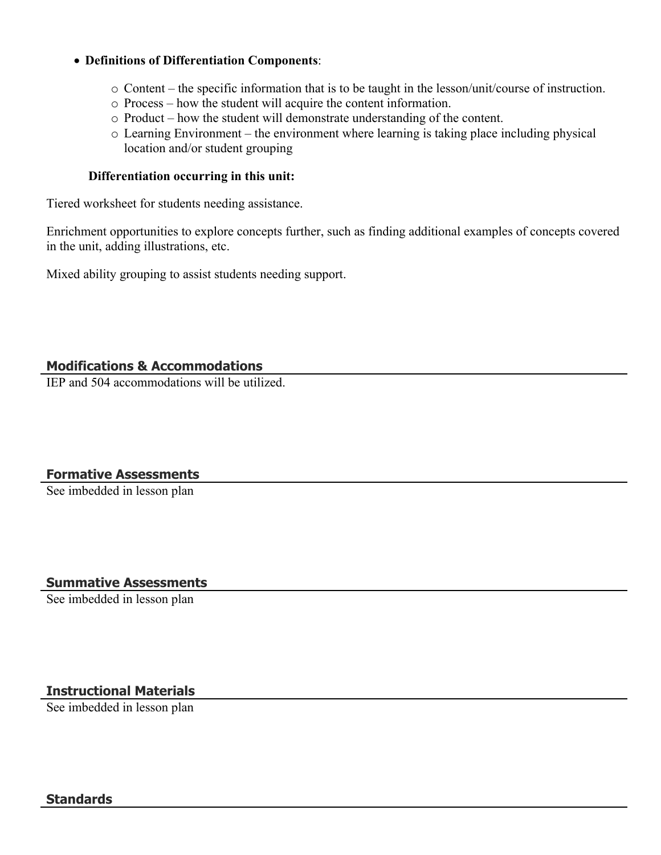### **Definitions of Differentiation Components**:

- o Content the specific information that is to be taught in the lesson/unit/course of instruction.
- o Process how the student will acquire the content information.
- o Product how the student will demonstrate understanding of the content.
- o Learning Environment the environment where learning is taking place including physical location and/or student grouping

#### **Differentiation occurring in this unit:**

Tiered worksheet for students needing assistance.

Enrichment opportunities to explore concepts further, such as finding additional examples of concepts covered in the unit, adding illustrations, etc.

Mixed ability grouping to assist students needing support.

# **Modifications & Accommodations**

IEP and 504 accommodations will be utilized.

# **Formative Assessments**

See imbedded in lesson plan

# **Summative Assessments**

See imbedded in lesson plan

# **Instructional Materials**

See imbedded in lesson plan

## **Standards**